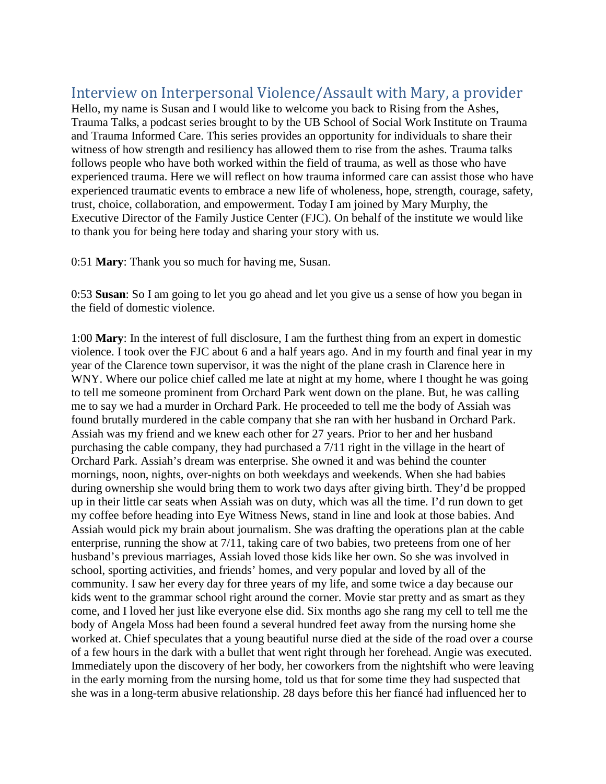## Interview on Interpersonal Violence/Assault with Mary, a provider

Hello, my name is Susan and I would like to welcome you back to Rising from the Ashes, Trauma Talks, a podcast series brought to by the UB School of Social Work Institute on Trauma and Trauma Informed Care. This series provides an opportunity for individuals to share their witness of how strength and resiliency has allowed them to rise from the ashes. Trauma talks follows people who have both worked within the field of trauma, as well as those who have experienced trauma. Here we will reflect on how trauma informed care can assist those who have experienced traumatic events to embrace a new life of wholeness, hope, strength, courage, safety, trust, choice, collaboration, and empowerment. Today I am joined by Mary Murphy, the Executive Director of the Family Justice Center (FJC). On behalf of the institute we would like to thank you for being here today and sharing your story with us.

0:51 **Mary**: Thank you so much for having me, Susan.

0:53 **Susan**: So I am going to let you go ahead and let you give us a sense of how you began in the field of domestic violence.

1:00 **Mary**: In the interest of full disclosure, I am the furthest thing from an expert in domestic violence. I took over the FJC about 6 and a half years ago. And in my fourth and final year in my year of the Clarence town supervisor, it was the night of the plane crash in Clarence here in WNY. Where our police chief called me late at night at my home, where I thought he was going to tell me someone prominent from Orchard Park went down on the plane. But, he was calling me to say we had a murder in Orchard Park. He proceeded to tell me the body of Assiah was found brutally murdered in the cable company that she ran with her husband in Orchard Park. Assiah was my friend and we knew each other for 27 years. Prior to her and her husband purchasing the cable company, they had purchased a 7/11 right in the village in the heart of Orchard Park. Assiah's dream was enterprise. She owned it and was behind the counter mornings, noon, nights, over-nights on both weekdays and weekends. When she had babies during ownership she would bring them to work two days after giving birth. They'd be propped up in their little car seats when Assiah was on duty, which was all the time. I'd run down to get my coffee before heading into Eye Witness News, stand in line and look at those babies. And Assiah would pick my brain about journalism. She was drafting the operations plan at the cable enterprise, running the show at 7/11, taking care of two babies, two preteens from one of her husband's previous marriages, Assiah loved those kids like her own. So she was involved in school, sporting activities, and friends' homes, and very popular and loved by all of the community. I saw her every day for three years of my life, and some twice a day because our kids went to the grammar school right around the corner. Movie star pretty and as smart as they come, and I loved her just like everyone else did. Six months ago she rang my cell to tell me the body of Angela Moss had been found a several hundred feet away from the nursing home she worked at. Chief speculates that a young beautiful nurse died at the side of the road over a course of a few hours in the dark with a bullet that went right through her forehead. Angie was executed. Immediately upon the discovery of her body, her coworkers from the nightshift who were leaving in the early morning from the nursing home, told us that for some time they had suspected that she was in a long-term abusive relationship. 28 days before this her fiancé had influenced her to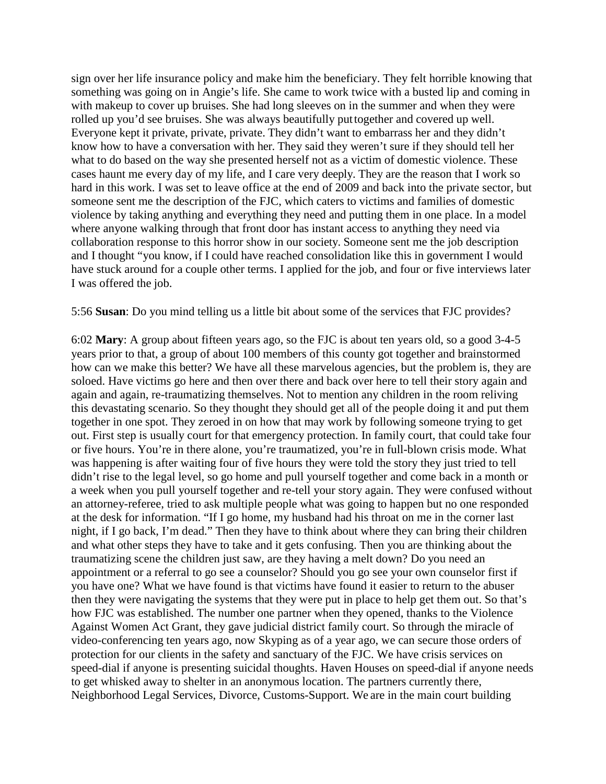sign over her life insurance policy and make him the beneficiary. They felt horrible knowing that something was going on in Angie's life. She came to work twice with a busted lip and coming in with makeup to cover up bruises. She had long sleeves on in the summer and when they were rolled up you'd see bruises. She was always beautifully put together and covered up well. Everyone kept it private, private, private. They didn't want to embarrass her and they didn't know how to have a conversation with her. They said they weren't sure if they should tell her what to do based on the way she presented herself not as a victim of domestic violence. These cases haunt me every day of my life, and I care very deeply. They are the reason that I work so hard in this work. I was set to leave office at the end of 2009 and back into the private sector, but someone sent me the description of the FJC, which caters to victims and families of domestic violence by taking anything and everything they need and putting them in one place. In a model where anyone walking through that front door has instant access to anything they need via collaboration response to this horror show in our society. Someone sent me the job description and I thought "you know, if I could have reached consolidation like this in government I would have stuck around for a couple other terms. I applied for the job, and four or five interviews later I was offered the job.

5:56 **Susan**: Do you mind telling us a little bit about some of the services that FJC provides?

6:02 **Mary**: A group about fifteen years ago, so the FJC is about ten years old, so a good 3-4-5 years prior to that, a group of about 100 members of this county got together and brainstormed how can we make this better? We have all these marvelous agencies, but the problem is, they are soloed. Have victims go here and then over there and back over here to tell their story again and again and again, re-traumatizing themselves. Not to mention any children in the room reliving this devastating scenario. So they thought they should get all of the people doing it and put them together in one spot. They zeroed in on how that may work by following someone trying to get out. First step is usually court for that emergency protection. In family court, that could take four or five hours. You're in there alone, you're traumatized, you're in full-blown crisis mode. What was happening is after waiting four of five hours they were told the story they just tried to tell didn't rise to the legal level, so go home and pull yourself together and come back in a month or a week when you pull yourself together and re-tell your story again. They were confused without an attorney-referee, tried to ask multiple people what was going to happen but no one responded at the desk for information. "If I go home, my husband had his throat on me in the corner last night, if I go back, I'm dead." Then they have to think about where they can bring their children and what other steps they have to take and it gets confusing. Then you are thinking about the traumatizing scene the children just saw, are they having a melt down? Do you need an appointment or a referral to go see a counselor? Should you go see your own counselor first if you have one? What we have found is that victims have found it easier to return to the abuser then they were navigating the systems that they were put in place to help get them out. So that's how FJC was established. The number one partner when they opened, thanks to the Violence Against Women Act Grant, they gave judicial district family court. So through the miracle of video-conferencing ten years ago, now Skyping as of a year ago, we can secure those orders of protection for our clients in the safety and sanctuary of the FJC. We have crisis services on speed-dial if anyone is presenting suicidal thoughts. Haven Houses on speed-dial if anyone needs to get whisked away to shelter in an anonymous location. The partners currently there, Neighborhood Legal Services, Divorce, Customs-Support. We are in the main court building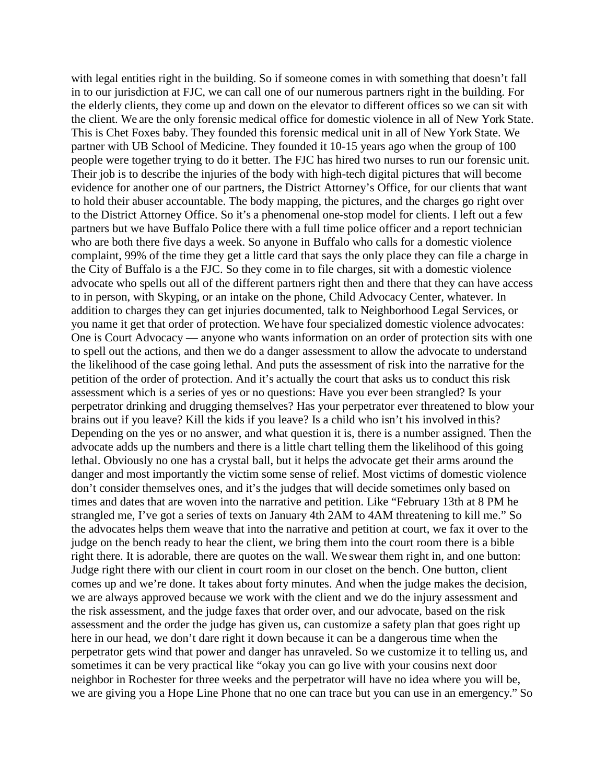with legal entities right in the building. So if someone comes in with something that doesn't fall in to our jurisdiction at FJC, we can call one of our numerous partners right in the building. For the elderly clients, they come up and down on the elevator to different offices so we can sit with the client. We are the only forensic medical office for domestic violence in all of New York State. This is Chet Foxes baby. They founded this forensic medical unit in all of New York State. We partner with UB School of Medicine. They founded it 10-15 years ago when the group of 100 people were together trying to do it better. The FJC has hired two nurses to run our forensic unit. Their job is to describe the injuries of the body with high-tech digital pictures that will become evidence for another one of our partners, the District Attorney's Office, for our clients that want to hold their abuser accountable. The body mapping, the pictures, and the charges go right over to the District Attorney Office. So it's a phenomenal one-stop model for clients. I left out a few partners but we have Buffalo Police there with a full time police officer and a report technician who are both there five days a week. So anyone in Buffalo who calls for a domestic violence complaint, 99% of the time they get a little card that says the only place they can file a charge in the City of Buffalo is a the FJC. So they come in to file charges, sit with a domestic violence advocate who spells out all of the different partners right then and there that they can have access to in person, with Skyping, or an intake on the phone, Child Advocacy Center, whatever. In addition to charges they can get injuries documented, talk to Neighborhood Legal Services, or you name it get that order of protection. We have four specialized domestic violence advocates: One is Court Advocacy — anyone who wants information on an order of protection sits with one to spell out the actions, and then we do a danger assessment to allow the advocate to understand the likelihood of the case going lethal. And puts the assessment of risk into the narrative for the petition of the order of protection. And it's actually the court that asks us to conduct this risk assessment which is a series of yes or no questions: Have you ever been strangled? Is your perpetrator drinking and drugging themselves? Has your perpetrator ever threatened to blow your brains out if you leave? Kill the kids if you leave? Is a child who isn't his involved in this? Depending on the yes or no answer, and what question it is, there is a number assigned. Then the advocate adds up the numbers and there is a little chart telling them the likelihood of this going lethal. Obviously no one has a crystal ball, but it helps the advocate get their arms around the danger and most importantly the victim some sense of relief. Most victims of domestic violence don't consider themselves ones, and it's the judges that will decide sometimes only based on times and dates that are woven into the narrative and petition. Like "February 13th at 8 PM he strangled me, I've got a series of texts on January 4th 2AM to 4AM threatening to kill me." So the advocates helps them weave that into the narrative and petition at court, we fax it over to the judge on the bench ready to hear the client, we bring them into the court room there is a bible right there. It is adorable, there are quotes on the wall. We swear them right in, and one button: Judge right there with our client in court room in our closet on the bench. One button, client comes up and we're done. It takes about forty minutes. And when the judge makes the decision, we are always approved because we work with the client and we do the injury assessment and the risk assessment, and the judge faxes that order over, and our advocate, based on the risk assessment and the order the judge has given us, can customize a safety plan that goes right up here in our head, we don't dare right it down because it can be a dangerous time when the perpetrator gets wind that power and danger has unraveled. So we customize it to telling us, and sometimes it can be very practical like "okay you can go live with your cousins next door neighbor in Rochester for three weeks and the perpetrator will have no idea where you will be, we are giving you a Hope Line Phone that no one can trace but you can use in an emergency." So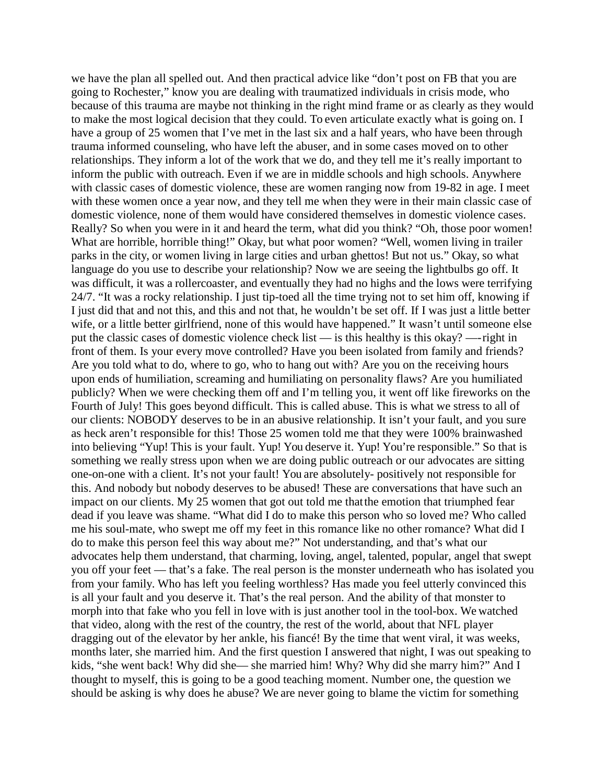we have the plan all spelled out. And then practical advice like "don't post on FB that you are going to Rochester," know you are dealing with traumatized individuals in crisis mode, who because of this trauma are maybe not thinking in the right mind frame or as clearly as they would to make the most logical decision that they could. To even articulate exactly what is going on. I have a group of 25 women that I've met in the last six and a half years, who have been through trauma informed counseling, who have left the abuser, and in some cases moved on to other relationships. They inform a lot of the work that we do, and they tell me it's really important to inform the public with outreach. Even if we are in middle schools and high schools. Anywhere with classic cases of domestic violence, these are women ranging now from 19-82 in age. I meet with these women once a year now, and they tell me when they were in their main classic case of domestic violence, none of them would have considered themselves in domestic violence cases. Really? So when you were in it and heard the term, what did you think? "Oh, those poor women! What are horrible, horrible thing!" Okay, but what poor women? "Well, women living in trailer parks in the city, or women living in large cities and urban ghettos! But not us." Okay, so what language do you use to describe your relationship? Now we are seeing the lightbulbs go off. It was difficult, it was a rollercoaster, and eventually they had no highs and the lows were terrifying 24/7. "It was a rocky relationship. I just tip-toed all the time trying not to set him off, knowing if I just did that and not this, and this and not that, he wouldn't be set off. If I was just a little better wife, or a little better girlfriend, none of this would have happened." It wasn't until someone else put the classic cases of domestic violence check list — is this healthy is this okay? —-right in front of them. Is your every move controlled? Have you been isolated from family and friends? Are you told what to do, where to go, who to hang out with? Are you on the receiving hours upon ends of humiliation, screaming and humiliating on personality flaws? Are you humiliated publicly? When we were checking them off and I'm telling you, it went off like fireworks on the Fourth of July! This goes beyond difficult. This is called abuse. This is what we stress to all of our clients: NOBODY deserves to be in an abusive relationship. It isn't your fault, and you sure as heck aren't responsible for this! Those 25 women told me that they were 100% brainwashed into believing "Yup! This is your fault. Yup! You deserve it. Yup! You're responsible." So that is something we really stress upon when we are doing public outreach or our advocates are sitting one-on-one with a client. It's not your fault! You are absolutely- positively not responsible for this. And nobody but nobody deserves to be abused! These are conversations that have such an impact on our clients. My 25 women that got out told me thatthe emotion that triumphed fear dead if you leave was shame. "What did I do to make this person who so loved me? Who called me his soul-mate, who swept me off my feet in this romance like no other romance? What did I do to make this person feel this way about me?" Not understanding, and that's what our advocates help them understand, that charming, loving, angel, talented, popular, angel that swept you off your feet — that's a fake. The real person is the monster underneath who has isolated you from your family. Who has left you feeling worthless? Has made you feel utterly convinced this is all your fault and you deserve it. That's the real person. And the ability of that monster to morph into that fake who you fell in love with is just another tool in the tool-box. We watched that video, along with the rest of the country, the rest of the world, about that NFL player dragging out of the elevator by her ankle, his fiancé! By the time that went viral, it was weeks, months later, she married him. And the first question I answered that night, I was out speaking to kids, "she went back! Why did she— she married him! Why? Why did she marry him?" And I thought to myself, this is going to be a good teaching moment. Number one, the question we should be asking is why does he abuse? We are never going to blame the victim for something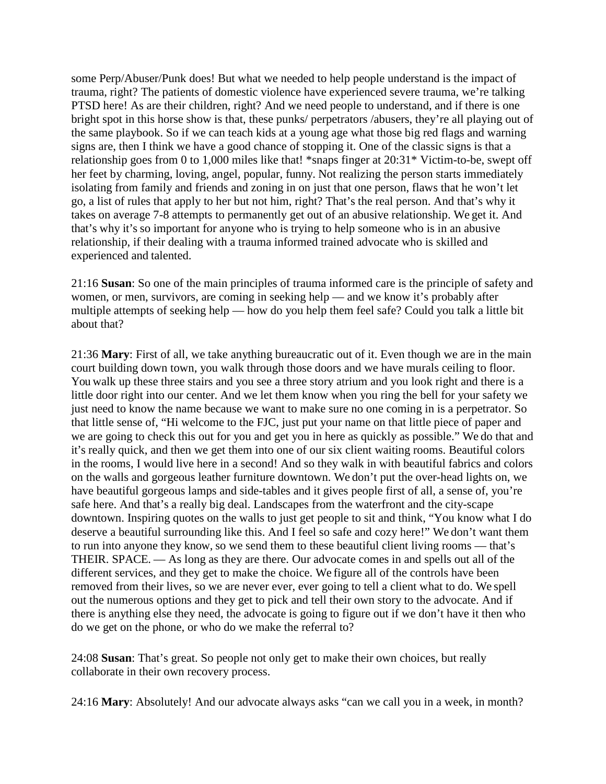some Perp/Abuser/Punk does! But what we needed to help people understand is the impact of trauma, right? The patients of domestic violence have experienced severe trauma, we're talking PTSD here! As are their children, right? And we need people to understand, and if there is one bright spot in this horse show is that, these punks/ perpetrators /abusers, they're all playing out of the same playbook. So if we can teach kids at a young age what those big red flags and warning signs are, then I think we have a good chance of stopping it. One of the classic signs is that a relationship goes from 0 to 1,000 miles like that! \*snaps finger at 20:31\* Victim-to-be, swept off her feet by charming, loving, angel, popular, funny. Not realizing the person starts immediately isolating from family and friends and zoning in on just that one person, flaws that he won't let go, a list of rules that apply to her but not him, right? That's the real person. And that's why it takes on average 7-8 attempts to permanently get out of an abusive relationship. We get it. And that's why it's so important for anyone who is trying to help someone who is in an abusive relationship, if their dealing with a trauma informed trained advocate who is skilled and experienced and talented.

21:16 **Susan**: So one of the main principles of trauma informed care is the principle of safety and women, or men, survivors, are coming in seeking help — and we know it's probably after multiple attempts of seeking help — how do you help them feel safe? Could you talk a little bit about that?

21:36 **Mary**: First of all, we take anything bureaucratic out of it. Even though we are in the main court building down town, you walk through those doors and we have murals ceiling to floor. You walk up these three stairs and you see a three story atrium and you look right and there is a little door right into our center. And we let them know when you ring the bell for your safety we just need to know the name because we want to make sure no one coming in is a perpetrator. So that little sense of, "Hi welcome to the FJC, just put your name on that little piece of paper and we are going to check this out for you and get you in here as quickly as possible." We do that and it's really quick, and then we get them into one of our six client waiting rooms. Beautiful colors in the rooms, I would live here in a second! And so they walk in with beautiful fabrics and colors on the walls and gorgeous leather furniture downtown. We don't put the over-head lights on, we have beautiful gorgeous lamps and side-tables and it gives people first of all, a sense of, you're safe here. And that's a really big deal. Landscapes from the waterfront and the city-scape downtown. Inspiring quotes on the walls to just get people to sit and think, "You know what I do deserve a beautiful surrounding like this. And I feel so safe and cozy here!" We don't want them to run into anyone they know, so we send them to these beautiful client living rooms — that's THEIR. SPACE. — As long as they are there. Our advocate comes in and spells out all of the different services, and they get to make the choice. We figure all of the controls have been removed from their lives, so we are never ever, ever going to tell a client what to do. We spell out the numerous options and they get to pick and tell their own story to the advocate. And if there is anything else they need, the advocate is going to figure out if we don't have it then who do we get on the phone, or who do we make the referral to?

24:08 **Susan**: That's great. So people not only get to make their own choices, but really collaborate in their own recovery process.

24:16 **Mary**: Absolutely! And our advocate always asks "can we call you in a week, in month?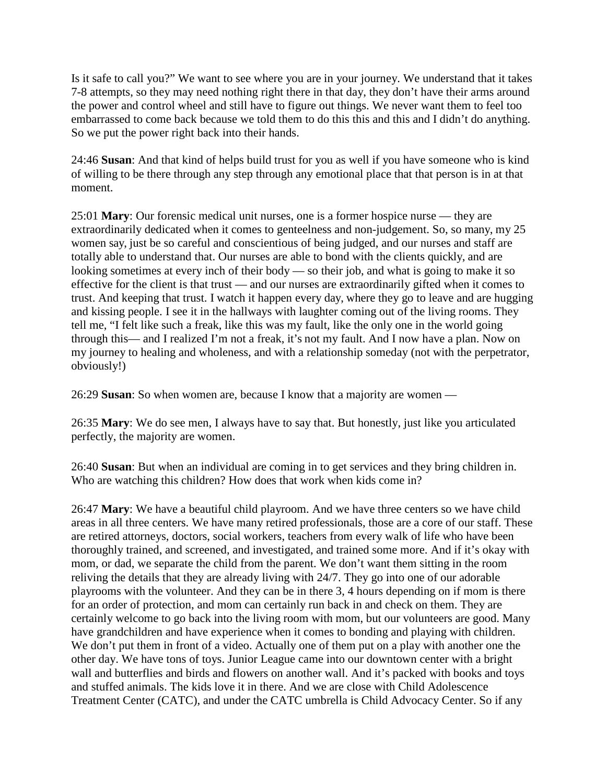Is it safe to call you?" We want to see where you are in your journey. We understand that it takes 7-8 attempts, so they may need nothing right there in that day, they don't have their arms around the power and control wheel and still have to figure out things. We never want them to feel too embarrassed to come back because we told them to do this this and this and I didn't do anything. So we put the power right back into their hands.

24:46 **Susan**: And that kind of helps build trust for you as well if you have someone who is kind of willing to be there through any step through any emotional place that that person is in at that moment.

25:01 **Mary**: Our forensic medical unit nurses, one is a former hospice nurse — they are extraordinarily dedicated when it comes to genteelness and non-judgement. So, so many, my 25 women say, just be so careful and conscientious of being judged, and our nurses and staff are totally able to understand that. Our nurses are able to bond with the clients quickly, and are looking sometimes at every inch of their body — so their job, and what is going to make it so effective for the client is that trust — and our nurses are extraordinarily gifted when it comes to trust. And keeping that trust. I watch it happen every day, where they go to leave and are hugging and kissing people. I see it in the hallways with laughter coming out of the living rooms. They tell me, "I felt like such a freak, like this was my fault, like the only one in the world going through this— and I realized I'm not a freak, it's not my fault. And I now have a plan. Now on my journey to healing and wholeness, and with a relationship someday (not with the perpetrator, obviously!)

26:29 **Susan**: So when women are, because I know that a majority are women —

26:35 **Mary**: We do see men, I always have to say that. But honestly, just like you articulated perfectly, the majority are women.

26:40 **Susan**: But when an individual are coming in to get services and they bring children in. Who are watching this children? How does that work when kids come in?

26:47 **Mary**: We have a beautiful child playroom. And we have three centers so we have child areas in all three centers. We have many retired professionals, those are a core of our staff. These are retired attorneys, doctors, social workers, teachers from every walk of life who have been thoroughly trained, and screened, and investigated, and trained some more. And if it's okay with mom, or dad, we separate the child from the parent. We don't want them sitting in the room reliving the details that they are already living with 24/7. They go into one of our adorable playrooms with the volunteer. And they can be in there 3, 4 hours depending on if mom is there for an order of protection, and mom can certainly run back in and check on them. They are certainly welcome to go back into the living room with mom, but our volunteers are good. Many have grandchildren and have experience when it comes to bonding and playing with children. We don't put them in front of a video. Actually one of them put on a play with another one the other day. We have tons of toys. Junior League came into our downtown center with a bright wall and butterflies and birds and flowers on another wall. And it's packed with books and toys and stuffed animals. The kids love it in there. And we are close with Child Adolescence Treatment Center (CATC), and under the CATC umbrella is Child Advocacy Center. So if any